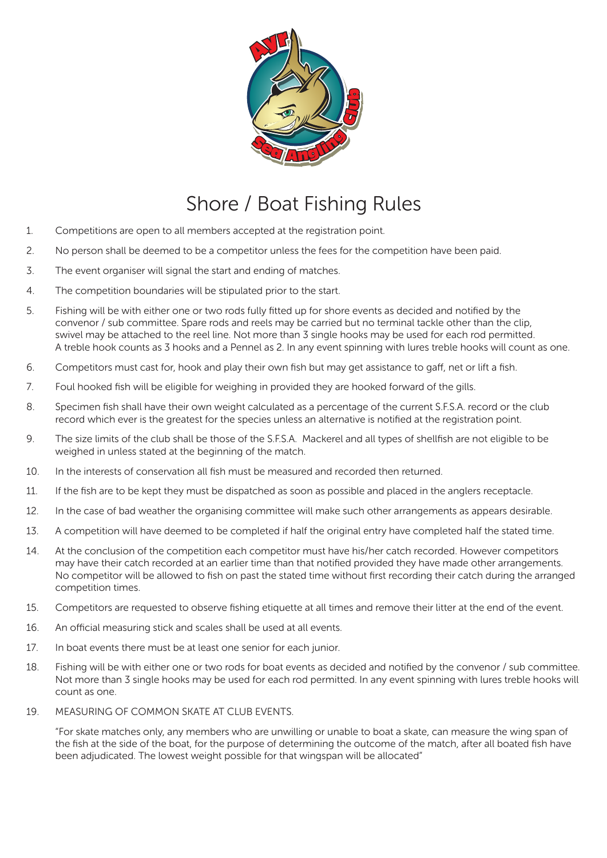

## Shore / Boat Fishing Rules

- 1. Competitions are open to all members accepted at the registration point.
- 2. No person shall be deemed to be a competitor unless the fees for the competition have been paid.
- 3. The event organiser will signal the start and ending of matches.
- 4. The competition boundaries will be stipulated prior to the start.
- 5. Fishing will be with either one or two rods fully fitted up for shore events as decided and notified by the convenor / sub committee. Spare rods and reels may be carried but no terminal tackle other than the clip, swivel may be attached to the reel line. Not more than 3 single hooks may be used for each rod permitted. A treble hook counts as 3 hooks and a Pennel as 2. In any event spinning with lures treble hooks will count as one.
- 6. Competitors must cast for, hook and play their own fish but may get assistance to gaff, net or lift a fish.
- 7. Foul hooked fish will be eligible for weighing in provided they are hooked forward of the gills.
- 8. Specimen fish shall have their own weight calculated as a percentage of the current S.F.S.A. record or the club record which ever is the greatest for the species unless an alternative is notified at the registration point.
- 9. The size limits of the club shall be those of the S.F.S.A. Mackerel and all types of shellfish are not eligible to be weighed in unless stated at the beginning of the match.
- 10. In the interests of conservation all fish must be measured and recorded then returned.
- 11. If the fish are to be kept they must be dispatched as soon as possible and placed in the anglers receptacle.
- 12. In the case of bad weather the organising committee will make such other arrangements as appears desirable.
- 13. A competition will have deemed to be completed if half the original entry have completed half the stated time.
- 14. At the conclusion of the competition each competitor must have his/her catch recorded. However competitors may have their catch recorded at an earlier time than that notified provided they have made other arrangements. No competitor will be allowed to fish on past the stated time without first recording their catch during the arranged competition times.
- 15. Competitors are requested to observe fishing etiquette at all times and remove their litter at the end of the event.
- 16. An official measuring stick and scales shall be used at all events.
- 17. In boat events there must be at least one senior for each junior.
- 18. Fishing will be with either one or two rods for boat events as decided and notified by the convenor / sub committee. Not more than 3 single hooks may be used for each rod permitted. In any event spinning with lures treble hooks will count as one.
- 19. MEASURING OF COMMON SKATE AT CLUB EVENTS.

"For skate matches only, any members who are unwilling or unable to boat a skate, can measure the wing span of the fish at the side of the boat, for the purpose of determining the outcome of the match, after all boated fish have been adjudicated. The lowest weight possible for that wingspan will be allocated"